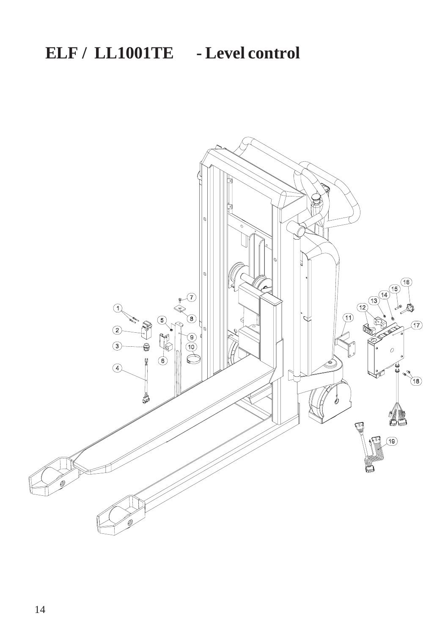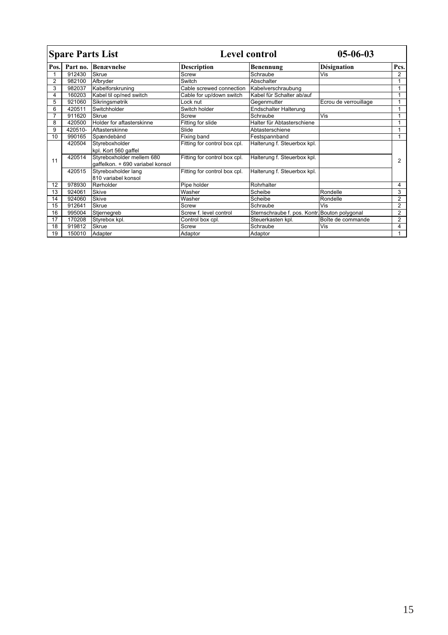| <b>Spare Parts List</b> |          |                                                                                       | <b>Level control</b>         |                                               | $05 - 06 - 03$        |                |
|-------------------------|----------|---------------------------------------------------------------------------------------|------------------------------|-----------------------------------------------|-----------------------|----------------|
| Pos.                    | Part no. | <b>Benævnelse</b>                                                                     | <b>Description</b>           | <b>Benennung</b>                              | Désignation           | Pcs.           |
|                         | 912430   | Skrue                                                                                 | Screw                        | Schraube                                      | <b>Vis</b>            | $\overline{2}$ |
| $\overline{2}$          | 982100   | Afbryder                                                                              | Switch                       | Abschalter                                    |                       | 1              |
| 3                       | 982037   | Kabelforskruning                                                                      | Cable screwed connection     | Kabelverschraubung                            |                       | 1              |
| 4                       | 160203   | Kabel til op/ned switch                                                               | Cable for up/down switch     | Kabel für Schalter ab/auf                     |                       | 1              |
| 5                       | 921060   | Sikringsmøtrik                                                                        | ock nut                      | Gegenmutter                                   | Ecrou de verrouillage | 1              |
| 6                       | 420511   | Switchholder                                                                          | Switch holder                | <b>Endschalter Halterung</b>                  |                       | 1              |
| $\overline{7}$          | 911620   | Skrue                                                                                 | Screw                        | Schraube                                      | Vis                   | 1              |
| 8                       | 420500   | Holder for aftasterskinne                                                             | Fitting for slide            | Halter für Abtasterschiene                    |                       |                |
| 9                       | 420510-  | Aftasterskinne                                                                        | Slide                        | Abtasterschiene                               |                       | 1              |
| 10                      | 990165   | Spændebånd                                                                            | Fixing band                  | Festspannband                                 |                       | 1              |
|                         | 420504   | Styreboxholder                                                                        | Fitting for control box cpl. | Halterung f. Steuerbox kpl.                   |                       |                |
| 11                      | 420514   | kpl. Kort 560 gaffel<br>Styreboxholder mellem 680<br>gaffelkon. + 690 variabel konsol | Fitting for control box cpl. | Halterung f. Steuerbox kpl.                   |                       | $\overline{2}$ |
|                         | 420515   | Styreboxholder lang<br>810 variabel konsol                                            | Fitting for control box cpl. | Halterung f. Steuerbox kpl.                   |                       |                |
| 12                      | 978930   | Rørholder                                                                             | Pipe holder                  | Rohrhalter                                    |                       | 4              |
| 13                      | 924061   | <b>Skive</b>                                                                          | Washer                       | Scheibe                                       | Rondelle              | 3              |
| 14                      | 924060   | Skive                                                                                 | Washer                       | Scheibe                                       | Rondelle              | $\overline{2}$ |
| 15                      | 912641   | Skrue                                                                                 | Screw                        | Schraube                                      | Vis                   | $\overline{2}$ |
| 16                      | 995004   | Stjernegreb                                                                           | Screw f. level control       | Sternschraube f. pos. Kontr. Bouton polygonal |                       | $\overline{2}$ |
| 17                      | 170208   | Styrebox kpl.                                                                         | Control box cpl.             | Steuerkasten kpl.                             | Boîte de commande     | $\overline{2}$ |
| 18                      | 919812   | Skrue                                                                                 | Screw                        | Schraube                                      | Vis                   | 4              |
| 19                      | 150010   | Adapter                                                                               | Adaptor                      | Adaptor                                       |                       | 1              |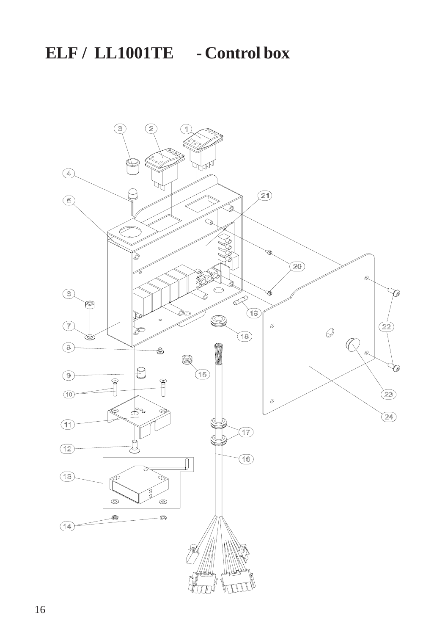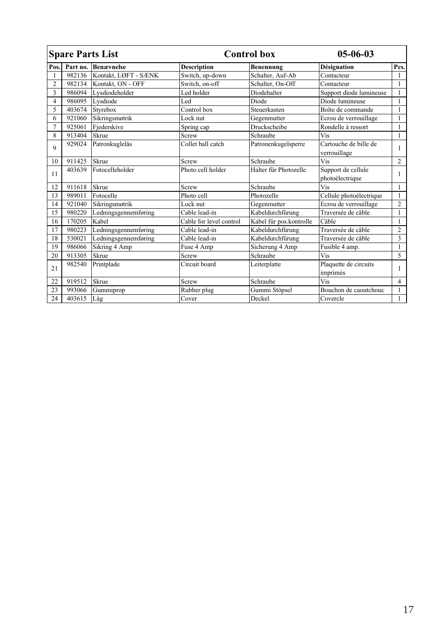| <b>Spare Parts List</b> |          |                      | <b>Control box</b>      |                         | $05 - 06 - 03$                        |                |
|-------------------------|----------|----------------------|-------------------------|-------------------------|---------------------------------------|----------------|
| Pos.                    | Part no. | <b>Benævnelse</b>    | <b>Description</b>      | Benennung               | Désignation                           | Pcs.           |
|                         | 982136   | Kontakt, LØFT - SÆNK | Switch, up-down         | Schalter, Auf-Ab        | Contacteur                            | 1              |
| $\overline{c}$          | 982134   | Kontakt, ON - OFF    | Switch, on-off          | Schalter, On-Off        | Contacteur                            | 1              |
| 3                       | 986094   | Lysdiodeholder       | Led holder              | Diodehalter             | Support diode lumineuse               | 1              |
| 4                       | 986095   | Lysdiode             | Led                     | Diode                   | Diode lumineuse                       | 1              |
| 5                       | 403674   | Styrebox             | Control box             | Steuerkasten            | Boîte de commande                     | 1              |
| 6                       | 921060   | Sikringsmøtrik       | Lock nut                | Gegenmutter             | Ecrou de verrouillage                 | 1              |
| $\overline{7}$          | 925061   | Fjederskive          | Spring cap              | Druckscheibe            | Rondelle à ressort                    | 1              |
| 8                       | 913404   | Skrue                | Screw                   | Schraube                | Vis                                   | 1              |
| 9                       | 929024   | Patronkuglelås       | Collet ball catch       | Patronenkugelsperre     | Cartouche de bille de<br>verrouillage | 1              |
| 10                      | 911425   | Skrue                | Screw                   | Schraube                | Vis                                   | $\overline{2}$ |
| 11                      | 403639   | Fotocelleholder      | Photo cell holder       | Halter für Photozelle   | Support de cellule<br>photoélectrique | 1              |
| 12                      | 911618   | Skrue                | Screw                   | Schraube                | Vis                                   | 1              |
| 13                      | 989011   | Fotocelle            | Photo cell              | Photozelle              | Cellule photoélectrique               | $\mathbf{1}$   |
| 14                      | 921040   | Sikringsmøtrik       | Lock nut                | Gegenmutter             | Ecrou de verrouillage                 | $\overline{c}$ |
| 15                      | 980220   | Ledningsgennemføring | Cable lead-in           | Kabeldurchfürung        | Traversée de câble                    | 1              |
| 16                      | 170205   | Kabel                | Cable for level control | Kabel für pos.kontrolle | Câble                                 | 1              |
| 17                      | 980223   | Ledningsgennemføring | Cable lead-in           | Kabeldurchfürung        | Traversée de câble                    | $\overline{c}$ |
| 18                      | 530021   | Ledningsgennemføring | Cable lead-in           | Kabeldurchfürung        | Traversée de câble                    | 3              |
| 19                      | 986066   | Sikring 4 Amp        | Fuse 4 Amp              | Sicherung 4 Amp         | Fusible 4 amp.                        | $\mathbf{1}$   |
| 20                      | 913305   | Skrue                | Screw                   | Schraube                | Vis                                   | 5              |
| 21                      | 982540   | Printplade           | Circuit board           | Leiterplatte            | Plaquette de circuits<br>imprimés     | 1              |
| 22                      | 919512   | Skrue                | Screw                   | Schraube                | Vis                                   | $\overline{4}$ |
| 23                      | 993066   | Gummiprop            | Rubber plug             | Gummi Stöpsel           | Bouchon de caoutchouc                 | 1              |
| 24                      | 403615   | Låg                  | Cover                   | Deckel                  | Covercle                              | $\mathbf{1}$   |